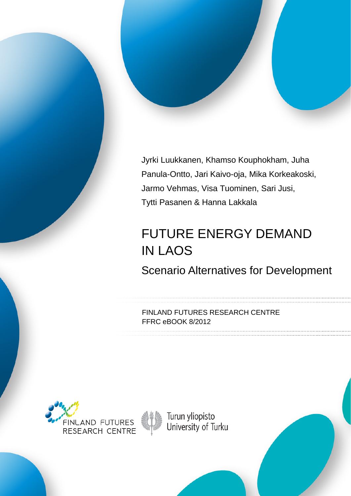

# FUTURE ENERGY DEMAND IN LAOS

Scenario Alternatives for Development

FINLAND FUTURES RESEARCH CENTRE FFRC eBOOK 8/2012





Turun yliopisto<br>University of Turku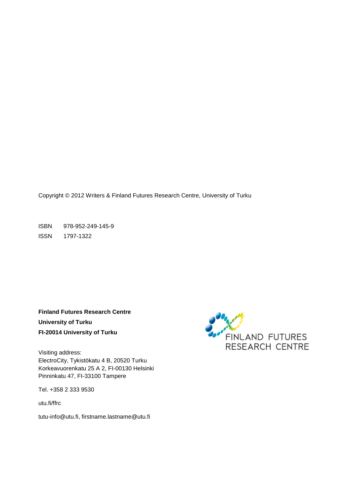Copyright © 2012 Writers & Finland Futures Research Centre, University of Turku

ISBN 978-952-249-145-9 ISSN 1797-1322

**Finland Futures Research Centre University of Turku FI-20014 University of Turku**

Visiting address: ElectroCity, Tykistökatu 4 B, 20520 Turku Korkeavuorenkatu 25 A 2, FI-00130 Helsinki Pinninkatu 47, FI-33100 Tampere

Tel. +358 2 333 9530

utu.fi/ffrc

tutu-info@utu.fi, [firstname.lastname@utu.fi](mailto:firstname.lastname@utu.fi)

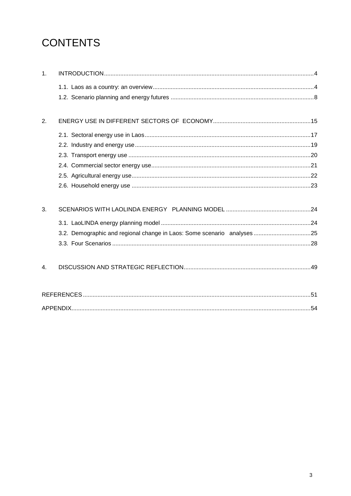# **CONTENTS**

| 1. |  |
|----|--|
|    |  |
|    |  |
| 2. |  |
|    |  |
|    |  |
|    |  |
|    |  |
|    |  |
|    |  |
| 3. |  |
|    |  |
|    |  |
|    |  |
| 4. |  |
|    |  |
|    |  |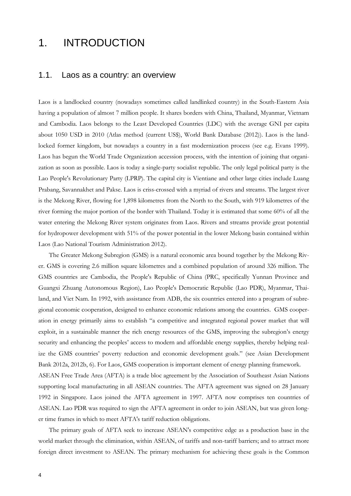## 1. INTRODUCTION

#### 1.1. Laos as a country: an overview

Laos is a landlocked country (nowadays sometimes called landlinked country) in the South-Eastern Asia having a population of almost 7 million people. It shares borders with China, Thailand, Myanmar, Vietnam and Cambodia. Laos belongs to the Least Developed Countries (LDC) with the average GNI per capita about 1050 USD in 2010 (Atlas method (current US\$), World Bank Database (2012)). Laos is the landlocked former kingdom, but nowadays a country in a fast modernization process (see e.g. Evans 1999). Laos has begun the World Trade Organization accession process, with the intention of joining that organization as soon as possible. Laos is today a single-party socialist republic. The only legal political party is the Lao People's Revolutionary Party (LPRP). The capital city is Vientiane and other large cities include Luang Prabang, Savannakhet and Pakse. Laos is criss-crossed with a myriad of rivers and streams. The largest river is the Mekong River, flowing for 1,898 kilometres from the North to the South, with 919 kilometres of the river forming the major portion of the border with Thailand. Today it is estimated that some 60% of all the water entering the Mekong River system originates from Laos. Rivers and streams provide great potential for hydropower development with 51% of the power potential in the lower Mekong basin contained within Laos (Lao National Tourism Administration 2012).

The Greater Mekong Subregion (GMS) is a natural economic area bound together by the Mekong River. GMS is covering 2.6 million square kilometres and a combined population of around 326 million. The GMS countries are Cambodia, the People's Republic of China (PRC, specifically Yunnan Province and Guangxi Zhuang Autonomous Region), Lao People's Democratic Republic (Lao PDR), Myanmar, Thailand, and Viet Nam. In 1992, with assistance from ADB, the six countries entered into a program of subregional economic cooperation, designed to enhance economic relations among the countries. GMS cooperation in energy primarily aims to establish "a competitive and integrated regional power market that will exploit, in a sustainable manner the rich energy resources of the GMS, improving the subregion's energy security and enhancing the peoples' access to modern and affordable energy supplies, thereby helping realize the GMS countries' poverty reduction and economic development goals." (see Asian Development Bank 2012a, 2012b, 6). For Laos, GMS cooperation is important element of energy planning framework. ASEAN Free Trade Area (AFTA) is a trade bloc agreement by the Association of Southeast Asian Nations supporting local manufacturing in all ASEAN countries. The AFTA agreement was signed on 28 January

1992 in Singapore. Laos joined the AFTA agreement in 1997. AFTA now comprises ten countries of ASEAN. Lao PDR was required to sign the AFTA agreement in order to join ASEAN, but was given longer time frames in which to meet AFTA's tariff reduction obligations.

The primary goals of AFTA seek to increase ASEAN's competitive edge as a production base in the world market through the elimination, within ASEAN, of tariffs and non-tariff barriers; and to attract more foreign direct investment to ASEAN. The primary mechanism for achieving these goals is the Common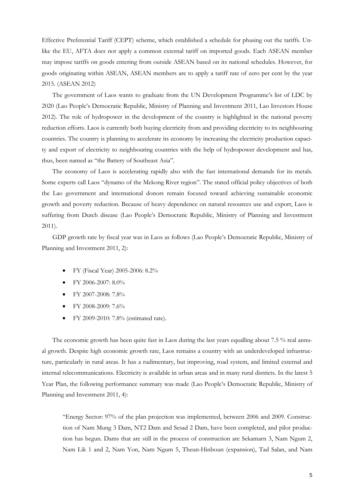Effective Preferential Tariff (CEPT) scheme, which established a schedule for phasing out the tariffs. Unlike the EU, AFTA does not apply a common external tariff on imported goods. Each ASEAN member may impose tariffs on goods entering from outside ASEAN based on its national schedules. However, for goods originating within ASEAN, ASEAN members are to apply a tariff rate of zero per cent by the year 2015. (ASEAN 2012)

The government of Laos wants to graduate from the UN Development Programme's list of LDC by 2020 (Lao People's Democratic Republic, Ministry of Planning and Investment 2011, Lao Investors House 2012). The role of hydropower in the development of the country is highlighted in the national poverty reduction efforts. Laos is currently both buying electricity from and providing electricity to its neighbouring countries. The country is planning to accelerate its economy by increasing the electricity production capacity and export of electricity to neighbouring countries with the help of hydropower development and has, thus, been named as "the Battery of Southeast Asia".

The economy of Laos is accelerating rapidly also with the fast international demands for its metals. Some experts call Laos "dynamo of the Mekong River region". The stated official policy objectives of both the Lao government and international donors remain focused toward achieving sustainable economic growth and poverty reduction. Because of heavy dependence on natural resources use and export, Laos is suffering from Dutch disease (Lao People's Democratic Republic, Ministry of Planning and Investment 2011).

GDP growth rate by fiscal year was in Laos as follows (Lao People's Democratic Republic, Ministry of Planning and Investment 2011, 2):

- FY (Fiscal Year) 2005-2006: 8.2%
- FY 2006-2007: 8.0%
- FY 2007-2008: 7.8%
- FY 2008-2009: 7.6%
- FY 2009-2010: 7.8% (estimated rate).

The economic growth has been quite fast in Laos during the last years equalling about 7.5 % real annual growth. Despite high economic growth rate, Laos remains a country with an underdeveloped infrastructure, particularly in rural areas. It has a rudimentary, but improving, road system, and limited external and internal telecommunications. Electricity is available in urban areas and in many rural districts. In the latest 5 Year Plan, the following performance summary was made (Lao People's Democratic Republic, Ministry of Planning and Investment 2011, 4):

"Energy Sector: 97% of the plan projection was implemented, between 2006 and 2009. Construction of Nam Mung 3 Dam, NT2 Dam and Sesad 2 Dam, have been completed, and pilot production has begun. Dams that are still in the process of construction are Sekamarn 3, Nam Ngum 2, Nam Lik 1 and 2, Nam Yon, Nam Ngum 5, Theun-Hinboun (expansion), Tad Salan, and Nam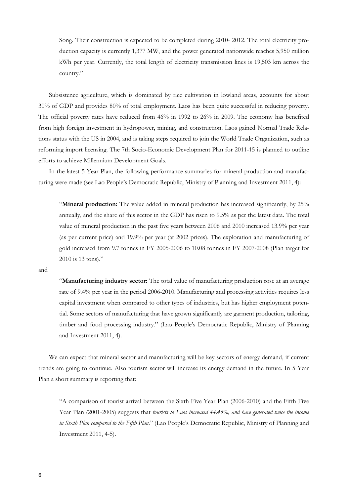Song. Their construction is expected to be completed during 2010- 2012. The total electricity production capacity is currently 1,377 MW, and the power generated nationwide reaches 5,950 million kWh per year. Currently, the total length of electricity transmission lines is 19,503 km across the country."

Subsistence agriculture, which is dominated by rice cultivation in lowland areas, accounts for about 30% of GDP and provides 80% of total employment. Laos has been quite successful in reducing poverty. The official poverty rates have reduced from 46% in 1992 to 26% in 2009. The economy has benefited from high foreign investment in hydropower, mining, and construction. Laos gained Normal Trade Relations status with the US in 2004, and is taking steps required to join the World Trade Organization, such as reforming import licensing. The 7th Socio-Economic Development Plan for 2011-15 is planned to outline efforts to achieve Millennium Development Goals.

In the latest 5 Year Plan, the following performance summaries for mineral production and manufacturing were made (see Lao People's Democratic Republic, Ministry of Planning and Investment 2011, 4):

"**Mineral production:** The value added in mineral production has increased significantly, by 25% annually, and the share of this sector in the GDP has risen to 9.5% as per the latest data. The total value of mineral production in the past five years between 2006 and 2010 increased 13.9% per year (as per current price) and 19.9% per year (at 2002 prices). The exploration and manufacturing of gold increased from 9.7 tonnes in FY 2005-2006 to 10.08 tonnes in FY 2007-2008 (Plan target for 2010 is 13 tons)."

and

"**Manufacturing industry sector:** The total value of manufacturing production rose at an average rate of 9.4% per year in the period 2006-2010. Manufacturing and processing activities requires less capital investment when compared to other types of industries, but has higher employment potential. Some sectors of manufacturing that have grown significantly are garment production, tailoring, timber and food processing industry." (Lao People's Democratic Republic, Ministry of Planning and Investment 2011, 4).

We can expect that mineral sector and manufacturing will be key sectors of energy demand, if current trends are going to continue. Also tourism sector will increase its energy demand in the future. In 5 Year Plan a short summary is reporting that:

"A comparison of tourist arrival between the Sixth Five Year Plan (2006-2010) and the Fifth Five Year Plan (2001-2005) suggests that *tourists to Laos increased 44.45%, and have generated twice the income in Sixth Plan compared to the Fifth Plan*." (Lao People's Democratic Republic, Ministry of Planning and Investment 2011, 4-5).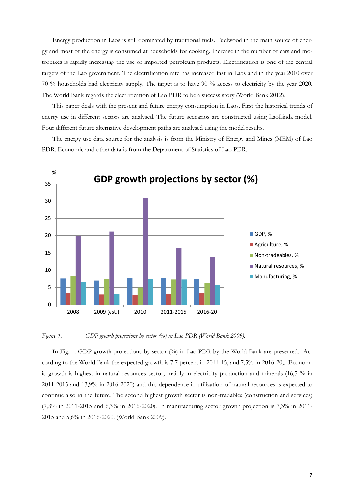Energy production in Laos is still dominated by traditional fuels. Fuelwood in the main source of energy and most of the energy is consumed at households for cooking. Increase in the number of cars and motorbikes is rapidly increasing the use of imported petroleum products. Electrification is one of the central targets of the Lao government. The electrification rate has increased fast in Laos and in the year 2010 over 70 % households had electricity supply. The target is to have 90 % access to electricity by the year 2020. The World Bank regards the electrification of Lao PDR to be a success story (World Bank 2012).

This paper deals with the present and future energy consumption in Laos. First the historical trends of energy use in different sectors are analysed. The future scenarios are constructed using LaoLinda model. Four different future alternative development paths are analysed using the model results.

The energy use data source for the analysis is from the Ministry of Energy and Mines (MEM) of Lao PDR. Economic and other data is from the Department of Statistics of Lao PDR.



*Figure 1. GDP growth projections by sector (%) in Lao PDR (World Bank 2009).*

In Fig. 1. GDP growth projections by sector (%) in Lao PDR by the World Bank are presented. According to the World Bank the expected growth is 7.7 percent in 2011-15, and 7,5% in 2016-20,. Economic growth is highest in natural resources sector, mainly in electricity production and minerals (16,5 % in 2011-2015 and 13,9% in 2016-2020) and this dependence in utilization of natural resources is expected to continue also in the future. The second highest growth sector is non-tradables (construction and services) (7,3% in 2011-2015 and 6,3% in 2016-2020). In manufacturing sector growth projection is 7,3% in 2011- 2015 and 5,6% in 2016-2020. (World Bank 2009).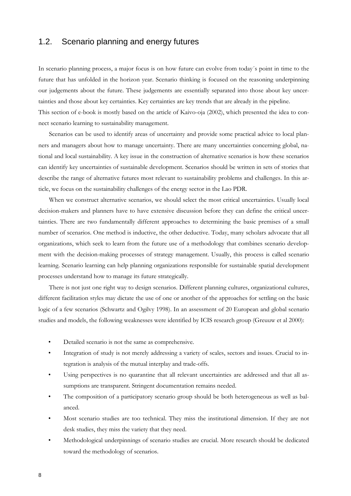### 1.2. Scenario planning and energy futures

In scenario planning process, a major focus is on how future can evolve from today´s point in time to the future that has unfolded in the horizon year. Scenario thinking is focused on the reasoning underpinning our judgements about the future. These judgements are essentially separated into those about key uncertainties and those about key certainties. Key certainties are key trends that are already in the pipeline. This section of e-book is mostly based on the article of Kaivo-oja (2002), which presented the idea to connect scenario learning to sustainability management.

Scenarios can be used to identify areas of uncertainty and provide some practical advice to local planners and managers about how to manage uncertainty. There are many uncertainties concerning global, national and local sustainability. A key issue in the construction of alternative scenarios is how these scenarios can identify key uncertainties of sustainable development. Scenarios should be written in sets of stories that describe the range of alternative futures most relevant to sustainability problems and challenges. In this article, we focus on the sustainability challenges of the energy sector in the Lao PDR.

When we construct alternative scenarios, we should select the most critical uncertainties. Usually local decision-makers and planners have to have extensive discussion before they can define the critical uncertainties. There are two fundamentally different approaches to determining the basic premises of a small number of scenarios. One method is inductive, the other deductive. Today, many scholars advocate that all organizations, which seek to learn from the future use of a methodology that combines scenario development with the decision-making processes of strategy management. Usually, this process is called scenario learning. Scenario learning can help planning organizations responsible for sustainable spatial development processes understand how to manage its future strategically.

There is not just one right way to design scenarios. Different planning cultures, organizational cultures, different facilitation styles may dictate the use of one or another of the approaches for settling on the basic logic of a few scenarios (Schwartz and Ogilvy 1998). In an assessment of 20 European and global scenario studies and models, the following weaknesses were identified by ICIS research group (Greuuw et al 2000):

- Detailed scenario is not the same as comprehensive.
- Integration of study is not merely addressing a variety of scales, sectors and issues. Crucial to integration is analysis of the mutual interplay and trade-offs.
- Using perspectives is no quarantine that all relevant uncertainties are addressed and that all assumptions are transparent. Stringent documentation remains needed.
- The composition of a participatory scenario group should be both heterogeneous as well as balanced.
- Most scenario studies are too technical. They miss the institutional dimension. If they are not desk studies, they miss the variety that they need.
- Methodological underpinnings of scenario studies are crucial. More research should be dedicated toward the methodology of scenarios.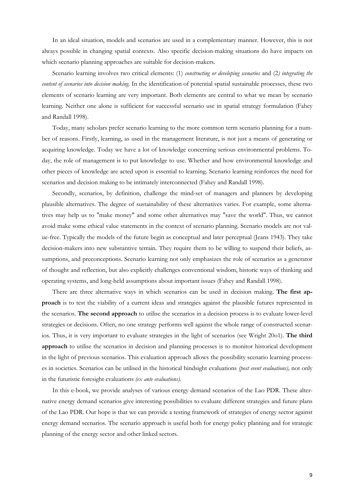In an ideal situation, models and scenarios are used in a complementary manner. However, this is not always possible in changing spatial contexts. Also specific decision-making situations do have impacts on which scenario planning approaches are suitable for decision-makers.

Scenario learning involves two critical elements: (1) *constructing or developing scenarios* and (2*) integrating the content of scenarios into decision making*. In the identification of potential spatial sustainable processes, these two elements of scenario learning are very important. Both elements are central to what we mean by scenario learning. Neither one alone is sufficient for successful scenario use in spatial strategy formulation (Fahey and Randall 1998).

Today, many scholars prefer scenario learning to the more common term scenario planning for a number of reasons. Firstly, learning, as used in the management literature, is not just a means of generating or acquiring knowledge. Today we have a lot of knowledge concerning serious environmental problems. Today, the role of management is to put knowledge to use. Whether and how environmental knowledge and other pieces of knowledge are acted upon is essential to learning. Scenario learning reinforces the need for scenarios and decision making to be intimately interconnected (Fahey and Randall 1998).

Secondly, scenarios, by definition, challenge the mind-set of managers and planners by developing plausible alternatives. The degree of sustainability of these alternatives varies. For example, some alternatives may help us to "make money" and some other alternatives may "save the world". Thus, we cannot avoid make some ethical value statements in the context of scenario planning. Scenario models are not value-free. Typically the models of the future begin as conceptual and later perceptual (Jeans 1943). They take decision-makers into new substantive terrain. They require them to be willing to suspend their beliefs, assumptions, and preconceptions. Scenario learning not only emphasizes the role of scenarios as a generator of thought and reflection, but also explicitly challenges conventional wisdom, historic ways of thinking and operating systems, and long-held assumptions about important issues (Fahey and Randall 1998).

There are three alternative ways in which scenarios can be used in decision making. **The first approach** is to test the viability of a current ideas and strategies against the plausible futures represented in the scenarios. **The second approach** to utilise the scenarios in a decision process is to evaluate lower-level strategies or decisions. Often, no one strategy performs well against the whole range of constructed scenarios. Thus, it is very important to evaluate strategies in the light of scenarios (see Wright 20o1). **The third approach** to utilise the scenarios in decision and planning processes is to monitor historical development in the light of previous scenarios. This evaluation approach allows the possibility scenario learning processes in societies. Scenarios can be utilised in the historical hindsight evaluations *(post event evaluations),* not only in the futuristic foresight evaluations *(ex ante evaluations).* 

In this e-book, we provide analyses of various energy demand scenarios of the Lao PDR. These alternative energy demand scenarios give interesting possibilities to evaluate different strategies and future plans of the Lao PDR. Our hope is that we can provide a testing framework of strategies of energy sector against energy demand scenarios. The scenario approach is useful both for energy policy planning and for strategic planning of the energy sector and other linked sectors.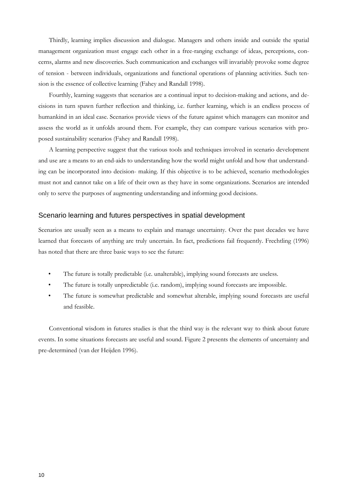Thirdly, learning implies discussion and dialogue. Managers and others inside and outside the spatial management organization must engage each other in a free-ranging exchange of ideas, perceptions, concerns, alarms and new discoveries. Such communication and exchanges will invariably provoke some degree of tension - between individuals, organizations and functional operations of planning activities. Such tension is the essence of collective learning (Fahey and Randall 1998).

Fourthly, learning suggests that scenarios are a continual input to decision-making and actions, and decisions in turn spawn further reflection and thinking, i.e. further learning, which is an endless process of humankind in an ideal case. Scenarios provide views of the future against which managers can monitor and assess the world as it unfolds around them. For example, they can compare various scenarios with proposed sustainability scenarios (Fahey and Randall 1998).

A learning perspective suggest that the various tools and techniques involved in scenario development and use are a means to an end-aids to understanding how the world might unfold and how that understanding can be incorporated into decision- making. If this objective is to be achieved, scenario methodologies must not and cannot take on a life of their own as they have in some organizations. Scenarios are intended only to serve the purposes of augmenting understanding and informing good decisions.

#### Scenario learning and futures perspectives in spatial development

Scenarios are usually seen as a means to explain and manage uncertainty. Over the past decades we have learned that forecasts of anything are truly uncertain. In fact, predictions fail frequently. Frechtling (1996) has noted that there are three basic ways to see the future:

- The future is totally predictable (i.e. unalterable), implying sound forecasts are useless.
- The future is totally unpredictable (i.e. random), implying sound forecasts are impossible.
- The future is somewhat predictable and somewhat alterable, implying sound forecasts are useful and feasible.

Conventional wisdom in futures studies is that the third way is the relevant way to think about future events. In some situations forecasts are useful and sound. Figure 2 presents the elements of uncertainty and pre-determined (van der Heijden 1996).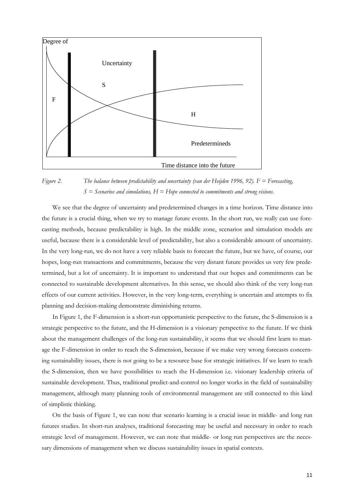

*Figure 2. The balance between predictability and uncertainty (van der Heijden 1996, 92). F = Forecasting, S = Scenarios and simulations, H = Hope connected to commitments and strong visions.*

We see that the degree of uncertainty and predetermined changes in a time horizon. Time distance into the future is a crucial thing, when we try to manage future events. In the short run, we really can use forecasting methods, because predictability is high. In the middle zone, scenarios and simulation models are useful, because there is a considerable level of predictability, but also a considerable amount of uncertainty. In the very long-run, we do not have a very reliable basis to forecast the future, but we have, of course, our hopes, long-run transactions and commitments, because the very distant future provides us very few predetermined, but a lot of uncertainty. It is important to understand that our hopes and commitments can be connected to sustainable development alternatives. In this sense, we should also think of the very long-run effects of our current activities. However, in the very long-term, everything is uncertain and attempts to fix planning and decision-making demonstrate diminishing returns.

In Figure 1, the F-dimension is a short-run opportunistic perspective to the future, the S-dimension is a strategic perspective to the future, and the H-dimension is a visionary perspective to the future. If we think about the management challenges of the long-run sustainability, it seems that we should first learn to manage the F-dimension in order to reach the S-dimension, because if we make very wrong forecasts concerning sustainability issues, there is not going to be a resource base for strategic initiatives. If we learn to reach the S-dimension, then we have possibilities to reach the H-dimension i.e. visionary leadership criteria of sustainable development. Thus, traditional predict-and-control no longer works in the field of sustainability management, although many planning tools of environmental management are still connected to this kind of simplistic thinking.

On the basis of Figure 1, we can note that scenario learning is a crucial issue in middle- and long run futures studies. In short-run analyses, traditional forecasting may be useful and necessary in order to reach strategic level of management. However, we can note that middle- or long run perspectives are the necessary dimensions of management when we discuss sustainability issues in spatial contexts.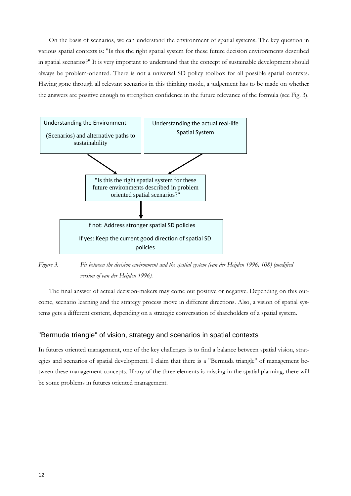On the basis of scenarios, we can understand the environment of spatial systems. The key question in various spatial contexts is: "Is this the right spatial system for these future decision environments described in spatial scenarios?" It is very important to understand that the concept of sustainable development should always be problem-oriented. There is not a universal SD policy toolbox for all possible spatial contexts. Having gone through all relevant scenarios in this thinking mode, a judgement has to be made on whether the answers are positive enough to strengthen confidence in the future relevance of the formula (see Fig. 3).



*Figure 3. Fit between the decision environment and the spatial system (van der Heijden 1996, 108) (modified version of van der Heijden 1996).*

The final answer of actual decision-makers may come out positive or negative. Depending on this outcome, scenario learning and the strategy process move in different directions. Also, a vision of spatial systems gets a different content, depending on a strategic conversation of shareholders of a spatial system.

#### "Bermuda triangle" of vision, strategy and scenarios in spatial contexts

In futures oriented management, one of the key challenges is to find a balance between spatial vision, strategies and scenarios of spatial development. I claim that there is a "Bermuda triangle" of management between these management concepts. If any of the three elements is missing in the spatial planning, there will be some problems in futures oriented management.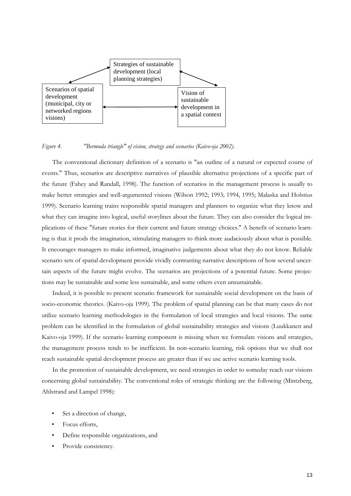

*Figure 4. "Bermuda triangle" of vision, strategy and scenarios (Kaivo-oja 2002).*

The conventional dictionary definition of a scenario is "an outline of a natural or expected course of events." Thus, scenarios are descriptive narratives of plausible alternative projections of a specific part of the future (Fahey and Randall, 1998). The function of scenarios in the management process is usually to make better strategies and well-argumented visions (Wilson 1992; 1993; 1994, 1995; Malaska and Holstius 1999). Scenario learning trains responsible spatial managers and planners to organize what they know and what they can imagine into logical, useful storylines about the future. They can also consider the logical implications of these "future stories for their current and future strategy choices." A benefit of scenario learning is that it prods the imagination, stimulating managers to think more audaciously about what is possible. It encourages managers to make informed, imaginative judgements about what they do not know. Reliable scenario sets of spatial development provide vividly contrasting narrative descriptions of how several uncertain aspects of the future might evolve. The scenarios are projections of a potential future. Some projections may be sustainable and some less sustainable, and some others even unsustainable.

Indeed, it is possible to present scenario framework for sustainable social development on the basis of socio-economic theories. (Kaivo-oja 1999). The problem of spatial planning can be that many cases do not utilize scenario learning methodologies in the formulation of local strategies and local visions. The same problem can be identified in the formulation of global sustainability strategies and visions (Luukkanen and Kaivo-oja 1999). If the scenario learning component is missing when we formulate visions and strategies, the management process tends to be inefficient. In non-scenario learning, risk options that we shall not reach sustainable spatial development process are greater than if we use active scenario learning tools.

In the promotion of sustainable development, we need strategies in order to someday reach our visions concerning global sustainability. The conventional roles of strategic thinking are the following (Mintzberg, Ahlstrand and Lampel 1998):

- Set a direction of change,
- Focus efforts,
- Define responsible organizations, and
- Provide consistency.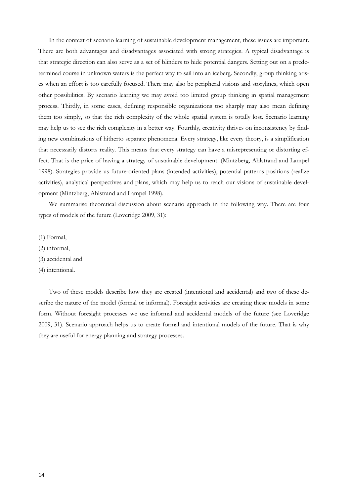In the context of scenario learning of sustainable development management, these issues are important. There are both advantages and disadvantages associated with strong strategies. A typical disadvantage is that strategic direction can also serve as a set of blinders to hide potential dangers. Setting out on a predetermined course in unknown waters is the perfect way to sail into an iceberg. Secondly, group thinking arises when an effort is too carefully focused. There may also be peripheral visions and storylines, which open other possibilities. By scenario learning we may avoid too limited group thinking in spatial management process. Thirdly, in some cases, defining responsible organizations too sharply may also mean defining them too simply, so that the rich complexity of the whole spatial system is totally lost. Scenario learning may help us to see the rich complexity in a better way. Fourthly, creativity thrives on inconsistency by finding new combinations of hitherto separate phenomena. Every strategy, like every theory, is a simplification that necessarily distorts reality. This means that every strategy can have a misrepresenting or distorting effect. That is the price of having a strategy of sustainable development. (Mintzberg, Ahlstrand and Lampel 1998). Strategies provide us future-oriented plans (intended activities), potential patterns positions (realize activities), analytical perspectives and plans, which may help us to reach our visions of sustainable development (Mintzberg, Ahlstrand and Lampel 1998).

We summarise theoretical discussion about scenario approach in the following way. There are four types of models of the future (Loveridge 2009, 31):

- (1) Formal,
- (2) informal,
- (3) accidental and
- (4) intentional.

Two of these models describe how they are created (intentional and accidental) and two of these describe the nature of the model (formal or informal). Foresight activities are creating these models in some form. Without foresight processes we use informal and accidental models of the future (see Loveridge 2009, 31). Scenario approach helps us to create formal and intentional models of the future. That is why they are useful for energy planning and strategy processes.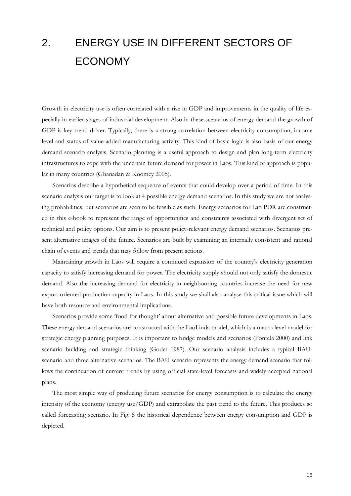# 2. ENERGY USE IN DIFFERENT SECTORS OF ECONOMY

Growth in electricity use is often correlated with a rise in GDP and improvements in the quality of life especially in earlier stages of industrial development. Also in these scenarios of energy demand the growth of GDP is key trend driver. Typically, there is a strong correlation between electricity consumption, income level and status of value-added manufacturing activity. This kind of basic logic is also basis of our energy demand scenario analysis. Scenario planning is a useful approach to design and plan long-term electricity infrastructures to cope with the uncertain future demand for power in Laos. This kind of approach is popular in many countries (Ghanadan & Koomey 2005).

Scenarios describe a hypothetical sequence of events that could develop over a period of time. In this scenario analysis our target is to look at 4 possible energy demand scenarios. In this study we are not analysing probabilities, but scenarios are seen to be feasible as such. Energy scenarios for Lao PDR are constructed in this e-book to represent the range of opportunities and constraints associated with divergent set of technical and policy options. Our aim is to present policy-relevant energy demand scenarios. Scenarios present alternative images of the future. Scenarios are built by examining an internally consistent and rational chain of events and trends that may follow from present actions.

Maintaining growth in Laos will require a continued expansion of the country's electricity generation capacity to satisfy increasing demand for power. The electricity supply should not only satisfy the domestic demand. Also the increasing demand for electricity in neighbouring countries increase the need for new export oriented production capacity in Laos. In this study we shall also analyse this critical issue which will have both resource and environmental implications.

Scenarios provide some 'food for thought' about alternative and possible future developments in Laos. These energy demand scenarios are constructed with the LaoLinda model, which is a macro level model for strategic energy planning purposes. It is important to bridge models and scenarios (Fontela 2000) and link scenario building and strategic thinking (Godet 1987). Our scenario analysis includes a typical BAUscenario and three alternative scenarios. The BAU scenario represents the energy demand scenario that follows the continuation of current trends by using official state-level forecasts and widely accepted national plans.

The most simple way of producing future scenarios for energy consumption is to calculate the energy intensity of the economy (energy use/GDP) and extrapolate the past trend to the future. This produces so called forecasting scenario. In Fig. 5 the historical dependence between energy consumption and GDP is depicted.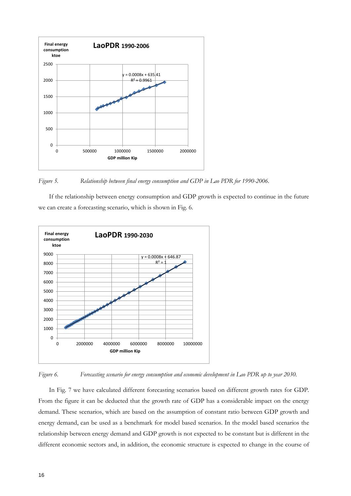

*Figure 5. Relationship between final energy consumption and GDP in Lao PDR for 1990-2006.*

If the relationship between energy consumption and GDP growth is expected to continue in the future we can create a forecasting scenario, which is shown in Fig. 6.





In Fig. 7 we have calculated different forecasting scenarios based on different growth rates for GDP. From the figure it can be deducted that the growth rate of GDP has a considerable impact on the energy demand. These scenarios, which are based on the assumption of constant ratio between GDP growth and energy demand, can be used as a benchmark for model based scenarios. In the model based scenarios the relationship between energy demand and GDP growth is not expected to be constant but is different in the different economic sectors and, in addition, the economic structure is expected to change in the course of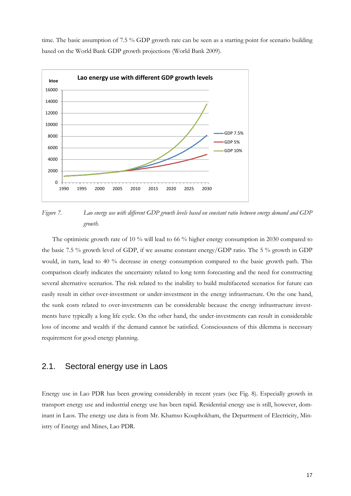time. The basic assumption of 7.5 % GDP growth rate can be seen as a starting point for scenario building based on the World Bank GDP growth projections (World Bank 2009).



*Figure 7. Lao energy use with different GDP growth levels based on constant ratio between energy demand and GDP growth.*

The optimistic growth rate of 10 % will lead to 66 % higher energy consumption in 2030 compared to the basic 7.5 % growth level of GDP, if we assume constant energy/GDP ratio. The 5 % growth in GDP would, in turn, lead to 40 % decrease in energy consumption compared to the basic growth path. This comparison clearly indicates the uncertainty related to long term forecasting and the need for constructing several alternative scenarios. The risk related to the inability to build multifaceted scenarios for future can easily result in either over-investment or under-investment in the energy infrastructure. On the one hand, the sunk costs related to over-investments can be considerable because the energy infrastructure investments have typically a long life cycle. On the other hand, the under-investments can result in considerable loss of income and wealth if the demand cannot be satisfied. Consciousness of this dilemma is necessary requirement for good energy planning.

#### 2.1. Sectoral energy use in Laos

Energy use in Lao PDR has been growing considerably in recent years (see Fig. 8). Especially growth in transport energy use and industrial energy use has been rapid. Residential energy use is still, however, dominant in Laos. The energy use data is from Mr. Khamso Kouphokham, the Department of Electricity, Ministry of Energy and Mines, Lao PDR.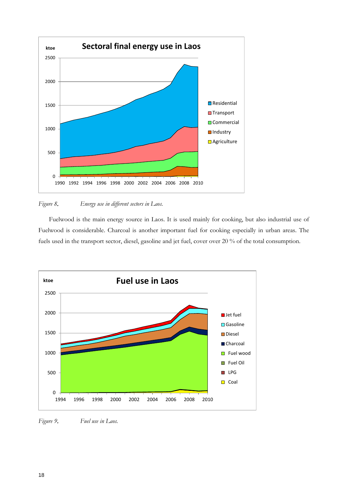

#### *Figure 8*. *Energy use in different sectors in Laos.*

Fuelwood is the main energy source in Laos. It is used mainly for cooking, but also industrial use of Fuelwood is considerable. Charcoal is another important fuel for cooking especially in urban areas. The fuels used in the transport sector, diesel, gasoline and jet fuel, cover over 20 % of the total consumption.



*Figure 9*. *Fuel use in Laos.*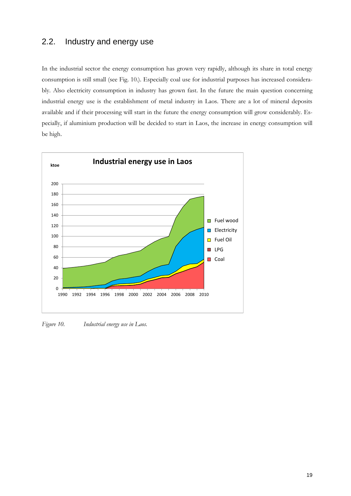### 2.2. Industry and energy use

In the industrial sector the energy consumption has grown very rapidly, although its share in total energy consumption is still small (see Fig. 10.). Especially coal use for industrial purposes has increased considerably. Also electricity consumption in industry has grown fast. In the future the main question concerning industrial energy use is the establishment of metal industry in Laos. There are a lot of mineral deposits available and if their processing will start in the future the energy consumption will grow considerably. Especially, if aluminium production will be decided to start in Laos, the increase in energy consumption will be high.



*Figure 10. Industrial energy use in Laos.*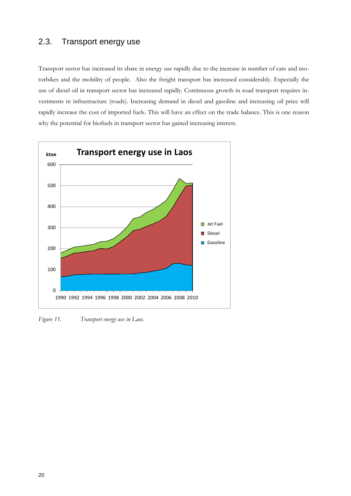### 2.3. Transport energy use

Transport sector has increased its share in energy use rapidly due to the increase in number of cars and motorbikes and the mobility of people. Also the freight transport has increased considerably. Especially the use of diesel oil in transport sector has increased rapidly. Continuous growth in road transport requires investments in infrastructure (roads). Increasing demand in diesel and gasoline and increasing oil price will rapidly increase the cost of imported fuels. This will have an effect on the trade balance. This is one reason why the potential for biofuels in transport sector has gained increasing interest.



*Figure 11. Transport energy use in Laos.*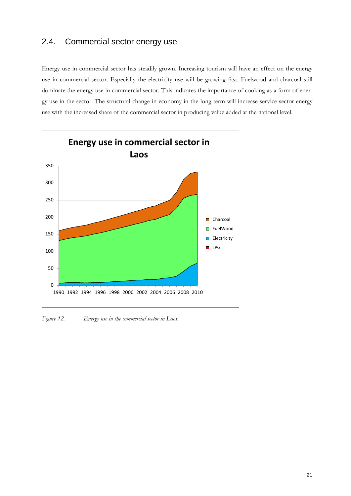### 2.4. Commercial sector energy use

Energy use in commercial sector has steadily grown. Increasing tourism will have an effect on the energy use in commercial sector. Especially the electricity use will be growing fast. Fuelwood and charcoal still dominate the energy use in commercial sector. This indicates the importance of cooking as a form of energy use in the sector. The structural change in economy in the long term will increase service sector energy use with the increased share of the commercial sector in producing value added at the national level.



*Figure 12. Energy use in the commercial sector in Laos.*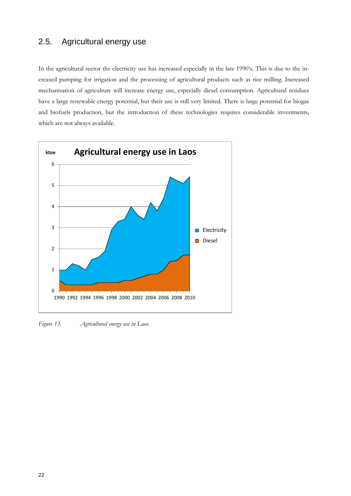### 2.5. Agricultural energy use

In the agricultural sector the electricity use has increased especially in the late 1990's. This is due to the increased pumping for irrigation and the processing of agricultural products such as rice milling. Increased mechanisation of agriculture will increase energy use, especially diesel consumption. Agricultural residues have a large renewable energy potential, but their use is still very limited. There is large potential for biogas and biofuels production, but the introduction of these technologies requires considerable investments, which are not always available.



*Figure 13. Agricultural energy use in Laos.*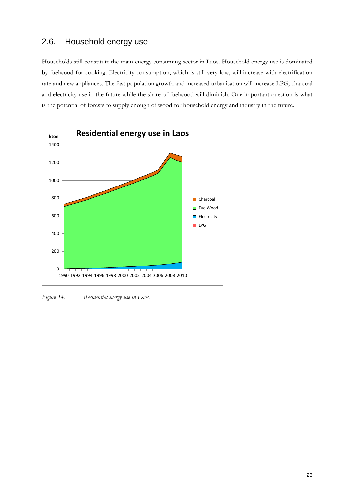## 2.6. Household energy use

Households still constitute the main energy consuming sector in Laos. Household energy use is dominated by fuelwood for cooking. Electricity consumption, which is still very low, will increase with electrification rate and new appliances. The fast population growth and increased urbanisation will increase LPG, charcoal and electricity use in the future while the share of fuelwood will diminish. One important question is what is the potential of forests to supply enough of wood for household energy and industry in the future.



*Figure 14. Residential energy use in Laos.*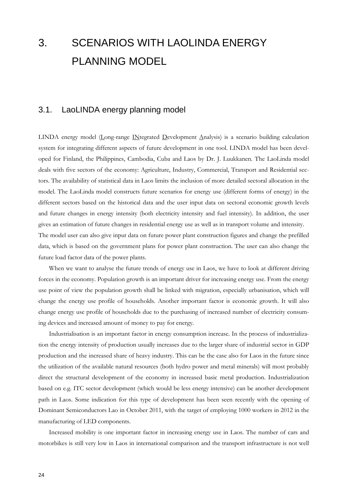# 3. SCENARIOS WITH LAOLINDA ENERGY PLANNING MODEL

### 3.1. LaoLINDA energy planning model

LINDA energy model (Long-range INtegrated Development Analysis) is a scenario building calculation system for integrating different aspects of future development in one tool. LINDA model has been developed for Finland, the Philippines, Cambodia, Cuba and Laos by Dr. J. Luukkanen. The LaoLinda model deals with five sectors of the economy: Agriculture, Industry, Commercial, Transport and Residential sectors. The availability of statistical data in Laos limits the inclusion of more detailed sectoral allocation in the model. The LaoLinda model constructs future scenarios for energy use (different forms of energy) in the different sectors based on the historical data and the user input data on sectoral economic growth levels and future changes in energy intensity (both electricity intensity and fuel intensity). In addition, the user gives an estimation of future changes in residential energy use as well as in transport volume and intensity. The model user can also give input data on future power plant construction figures and change the prefilled

data, which is based on the government plans for power plant construction. The user can also change the future load factor data of the power plants.

When we want to analyse the future trends of energy use in Laos, we have to look at different driving forces in the economy. Population growth is an important driver for increasing energy use. From the energy use point of view the population growth shall be linked with migration, especially urbanisation, which will change the energy use profile of households. Another important factor is economic growth. It will also change energy use profile of households due to the purchasing of increased number of electricity consuming devices and increased amount of money to pay for energy.

Industrialisation is an important factor in energy consumption increase. In the process of industrialization the energy intensity of production usually increases due to the larger share of industrial sector in GDP production and the increased share of heavy industry. This can be the case also for Laos in the future since the utilization of the available natural resources (both hydro power and metal minerals) will most probably direct the structural development of the economy in increased basic metal production. Industrialization based on e.g. ITC sector development (which would be less energy intensive) can be another development path in Laos. Some indication for this type of development has been seen recently with the opening of Dominant Semiconductors Lao in October 2011, with the target of employing 1000 workers in 2012 in the manufacturing of LED components.

Increased mobility is one important factor in increasing energy use in Laos. The number of cars and motorbikes is still very low in Laos in international comparison and the transport infrastructure is not well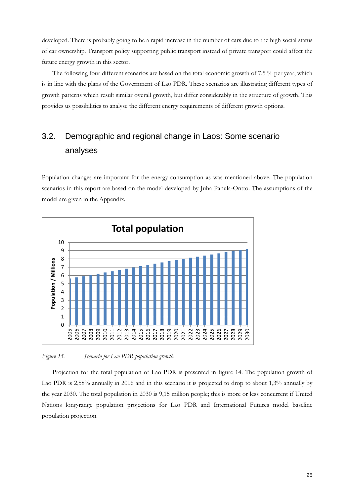developed. There is probably going to be a rapid increase in the number of cars due to the high social status of car ownership. Transport policy supporting public transport instead of private transport could affect the future energy growth in this sector.

The following four different scenarios are based on the total economic growth of 7.5 % per year, which is in line with the plans of the Government of Lao PDR. These scenarios are illustrating different types of growth patterns which result similar overall growth, but differ considerably in the structure of growth. This provides us possibilities to analyse the different energy requirements of different growth options.

## 3.2. Demographic and regional change in Laos: Some scenario analyses

Population changes are important for the energy consumption as was mentioned above. The population scenarios in this report are based on the model developed by Juha Panula-Ontto. The assumptions of the model are given in the Appendix.



*Figure 15. Scenario for Lao PDR population growth.*

Projection for the total population of Lao PDR is presented in figure 14. The population growth of Lao PDR is 2,58% annually in 2006 and in this scenario it is projected to drop to about 1,3% annually by the year 2030. The total population in 2030 is 9,15 million people; this is more or less concurrent if United Nations long-range population projections for Lao PDR and International Futures model baseline population projection.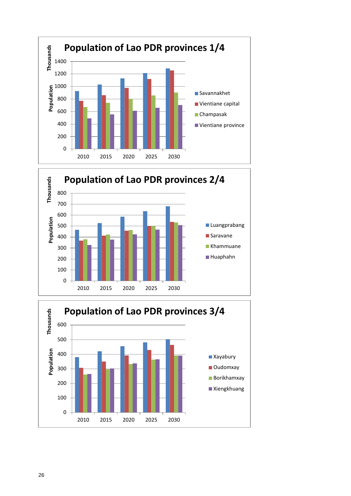



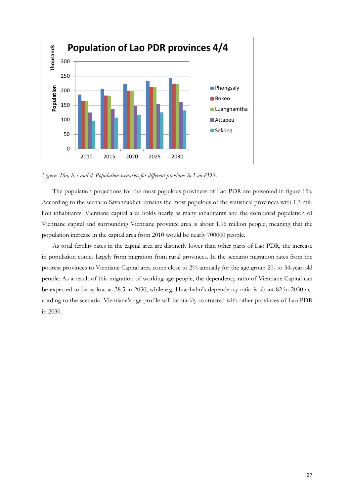

*Figures 16a, b, c and d. Population scenarios for different provinces in Lao PDR.* 

The population projections for the most populous provinces of Lao PDR are presented in figure 15a. According to the scenario Savannakhet remains the most populous of the statistical provinces with 1,3 million inhabitants. Vientiane capital area holds nearly as many inhabitants and the combined population of Vientiane capital and surrounding Vientiane province area is about 1,96 million people, meaning that the population increase in the capital area from 2010 would be nearly 700000 people.

As total fertility rates in the capital area are distinctly lower than other parts of Lao PDR, the increase in population comes largely from migration from rural provinces. In the scenario migration rates from the poorest provinces to Vientiane Capital area come close to 2% annually for the age group 20- to 34-year-old people. As a result of this migration of working-age people, the dependency ratio of Vientiane Capital can be expected to be as low as 38.5 in 2030, while e.g. Huaphahn's dependency ratio is about 82 in 2030 according to the scenario. Vientiane's age profile will be starkly contrasted with other provinces of Lao PDR in 2030.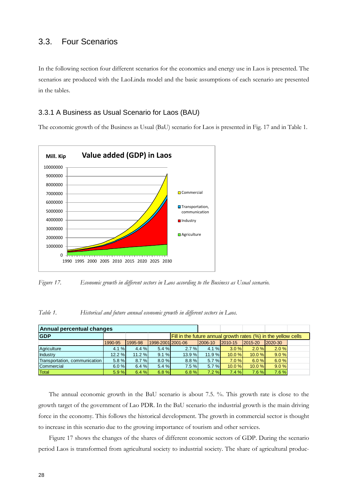#### 3.3. Four Scenarios

In the following section four different scenarios for the economics and energy use in Laos is presented. The scenarios are produced with the LaoLinda model and the basic assumptions of each scenario are presented in the tables.

#### 3.3.1 A Business as Usual Scenario for Laos (BAU)

The economic growth of the Business as Usual (BaU) scenario for Laos is presented in Fig. 17 and in Table 1.



*Figure 17. Economic growth in different sectors in Laos according to the Business as Usual scenario.*

*Table 1. Historical and future annual economic growth in different sectors in Laos.*

| Annual percentual changes     |         |         |                     |                                                                       |         |          |          |              |  |  |  |  |
|-------------------------------|---------|---------|---------------------|-----------------------------------------------------------------------|---------|----------|----------|--------------|--|--|--|--|
| <b>GDP</b>                    |         |         |                     | <b>Fill in the future annual growth rates (%) in the yellow cells</b> |         |          |          |              |  |  |  |  |
|                               | 1990-95 | 1995-98 | 1998-2001 2001 - 06 |                                                                       | 2006-10 | 2010-15  | 2015-20  | $12020 - 30$ |  |  |  |  |
| Agriculture                   | 4.1%    | 4.4%    | 5.4%                | 2.7%                                                                  | 4.1%    | $3.0 \%$ | $2.0 \%$ | 2.0%         |  |  |  |  |
| Industry                      | 12.2%   | 11.2%   | 9.1%                | 13.9 %                                                                | 11.9 %  | 10.0%    | 10.0%    | 9.0%         |  |  |  |  |
| Transportation, communication | 5.8%    | 8.7%    | 8.0%                | 8.8%                                                                  | 5.7 %   | 7.0%     | 6.0%     | 6.0%         |  |  |  |  |
| Commercial                    | 6.0%    | 6.4%    | 5.4%                | 7.5%                                                                  | 5.7 %   | 10.0%    | 10.0%    | 9.0%         |  |  |  |  |
| <b>Total</b>                  | 5.9%    | 6.4%    | 6.8%                | 6.8%                                                                  | 7.2%    | 7.4%     | 7.6%     | 7.6%         |  |  |  |  |

The annual economic growth in the BaU scenario is about 7.5. %. This growth rate is close to the growth target of the government of Lao PDR. In the BaU scenario the industrial growth is the main driving force in the economy. This follows the historical development. The growth in commercial sector is thought to increase in this scenario due to the growing importance of tourism and other services.

Figure 17 shows the changes of the shares of different economic sectors of GDP. During the scenario period Laos is transformed from agricultural society to industrial society. The share of agricultural produc-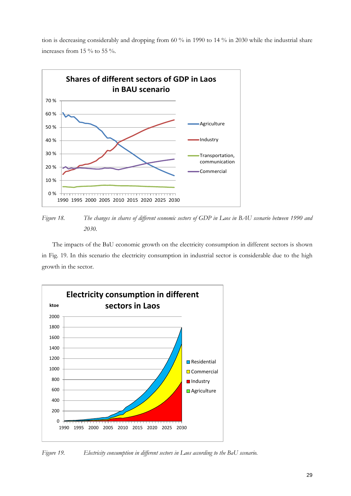tion is decreasing considerably and dropping from 60 % in 1990 to 14 % in 2030 while the industrial share increases from 15 % to 55 %.



*Figure 18. The changes in shares of different economic sectors of GDP in Laos in BAU scenario between 1990 and 2030.*

The impacts of the BaU economic growth on the electricity consumption in different sectors is shown in Fig. 19. In this scenario the electricity consumption in industrial sector is considerable due to the high growth in the sector.



*Figure 19. Electricity consumption in different sectors in Laos according to the BaU scenario.*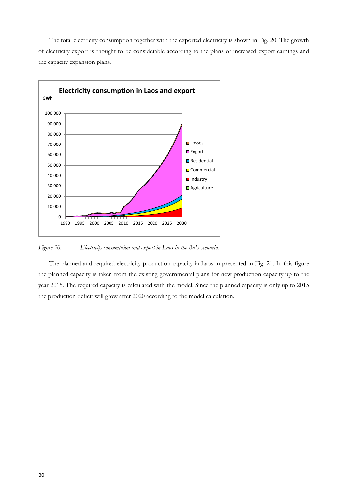The total electricity consumption together with the exported electricity is shown in Fig. 20. The growth of electricity export is thought to be considerable according to the plans of increased export earnings and the capacity expansion plans.



*Figure 20. Electricity consumption and export in Laos in the BaU scenario.*

The planned and required electricity production capacity in Laos in presented in Fig. 21. In this figure the planned capacity is taken from the existing governmental plans for new production capacity up to the year 2015. The required capacity is calculated with the model. Since the planned capacity is only up to 2015 the production deficit will grow after 2020 according to the model calculation.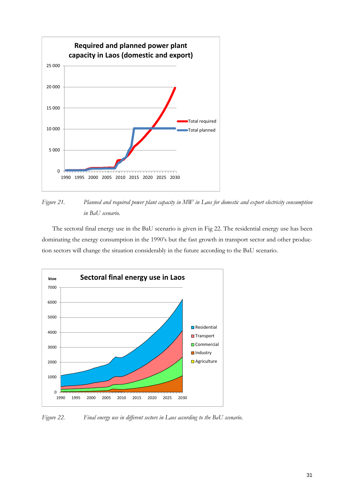

*Figure 21. Planned and required power plant capacity in MW in Laos for domestic and export electricity consumption in BaU scenario.*

The sectoral final energy use in the BaU scenario is given in Fig 22. The residential energy use has been dominating the energy consumption in the 1990's but the fast growth in transport sector and other production sectors will change the situation considerably in the future according to the BaU scenario.



*Figure 22. Final energy use in different sectors in Laos according to the BaU scenario.*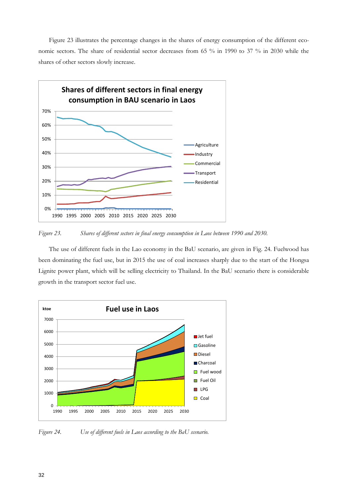Figure 23 illustrates the percentage changes in the shares of energy consumption of the different economic sectors. The share of residential sector decreases from 65 % in 1990 to 37 % in 2030 while the shares of other sectors slowly increase.



*Figure 23. Shares of different sectors in final energy consumption in Laos between 1990 and 2030.*

The use of different fuels in the Lao economy in the BaU scenario, are given in Fig. 24. Fuelwood has been dominating the fuel use, but in 2015 the use of coal increases sharply due to the start of the Hongsa Lignite power plant, which will be selling electricity to Thailand. In the BaU scenario there is considerable growth in the transport sector fuel use.



*Figure 24. Use of different fuels in Laos according to the BaU scenario.*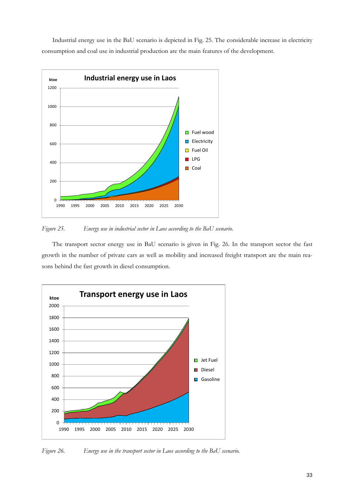Industrial energy use in the BaU scenario is depicted in Fig. 25. The considerable increase in electricity consumption and coal use in industrial production are the main features of the development.



*Figure 25. Energy use in industrial sector in Laos according to the BaU scenario.*

The transport sector energy use in BaU scenario is given in Fig. 26. In the transport sector the fast growth in the number of private cars as well as mobility and increased freight transport are the main reasons behind the fast growth in diesel consumption.



*Figure 26. Energy use in the transport sector in Laos according to the BaU scenario.*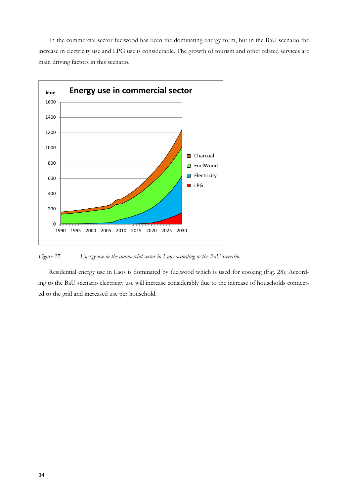In the commercial sector fuelwood has been the dominating energy form, but in the BaU scenario the increase in electricity use and LPG use is considerable. The growth of tourism and other related services are main driving factors in this scenario.



*Figure 27. Energy use in the commercial sector in Laos according to the BaU scenario.*

Residential energy use in Laos is dominated by fuelwood which is used for cooking (Fig. 28). According to the BaU scenario electricity use will increase considerably due to the increase of households connected to the grid and increased use per household.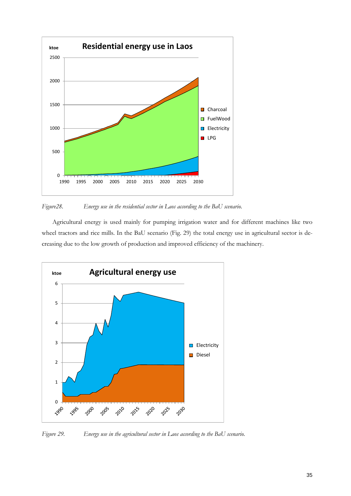

*Figure28. Energy use in the residential sector in Laos according to the BaU scenario.*

Agricultural energy is used mainly for pumping irrigation water and for different machines like two wheel tractors and rice mills. In the BaU scenario (Fig. 29) the total energy use in agricultural sector is decreasing due to the low growth of production and improved efficiency of the machinery.



*Figure 29. Energy use in the agricultural sector in Laos according to the BaU scenario.*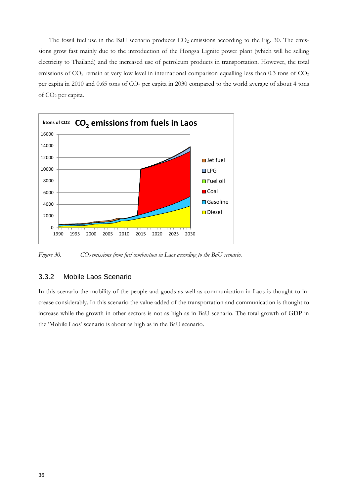The fossil fuel use in the BaU scenario produces  $CO<sub>2</sub>$  emissions according to the Fig. 30. The emissions grow fast mainly due to the introduction of the Hongsa Lignite power plant (which will be selling electricity to Thailand) and the increased use of petroleum products in transportation. However, the total emissions of CO<sub>2</sub> remain at very low level in international comparison equalling less than 0.3 tons of CO<sub>2</sub> per capita in 2010 and 0.65 tons of  $CO<sub>2</sub>$  per capita in 2030 compared to the world average of about 4 tons of CO2 per capita.



*Figure 30. CO<sub>2</sub> emissions from fuel combustion in Laos according to the BaU scenario.* 

#### 3.3.2 Mobile Laos Scenario

In this scenario the mobility of the people and goods as well as communication in Laos is thought to increase considerably. In this scenario the value added of the transportation and communication is thought to increase while the growth in other sectors is not as high as in BaU scenario. The total growth of GDP in the 'Mobile Laos' scenario is about as high as in the BaU scenario.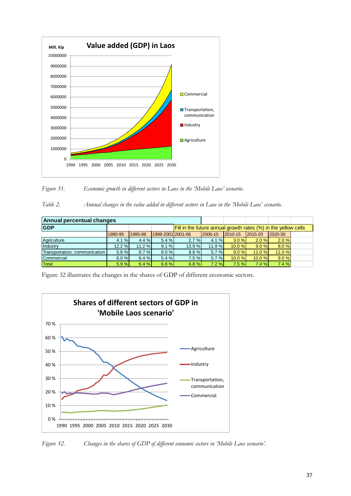

*Figure 31. Economic growth in different sectors in Laos in the 'Mobile Laos' scenario.*

*Table 2. Annual changes in the value added in different sectors in Laos in the 'Mobile Laos' scenario.*

| Annual percentual changes     |         |         |       |                                                                       |          |       |        |        |  |  |  |  |
|-------------------------------|---------|---------|-------|-----------------------------------------------------------------------|----------|-------|--------|--------|--|--|--|--|
| <b>GDP</b>                    |         |         |       | <b>Fill in the future annual growth rates (%) in the yellow cells</b> |          |       |        |        |  |  |  |  |
|                               | 1990-95 | 1995-98 |       | 1998-2001 2001-06<br>2006-10<br>2015-20<br>2010-15<br>2020-30         |          |       |        |        |  |  |  |  |
| Agriculture                   | 4.1%    | 4.4%    | 5.4 % | $2.7 \%$                                                              | 4.1%     | 3.0%  | 2.0%   | 2.0%   |  |  |  |  |
| Industry                      | 12.2%   | 11.2%   | 9.1%  | 13.9%                                                                 | 11.9%    | 10.0% | 9.0%   | 8.0%   |  |  |  |  |
| Transportation, communication | 5.8%    | 8.7%    | 8.0%  | 8.8%                                                                  | $5.7 \%$ | 9.0%  | 11.0 % | 11.0 % |  |  |  |  |
| Commercial                    | 6.0%    | 6.4%    | 5.4 % | 7.5%                                                                  | $5.7 \%$ | 10.0% | 10.0%  | 9.0%   |  |  |  |  |
| Total                         | 5.9%    | 6.4%    | 6.8%  | 6.8%                                                                  | 7.2%     | 7.5%  | 7.4%   | 7.4%   |  |  |  |  |

Figure 32 illustrates the changes in the shares of GDP of different economic sectors.



*Figure 32. Changes in the shares of GDP of different economic sectors in 'Mobile Laos scenario'.*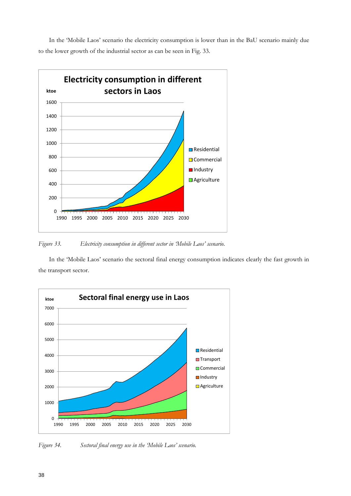In the 'Mobile Laos' scenario the electricity consumption is lower than in the BaU scenario mainly due to the lower growth of the industrial sector as can be seen in Fig. 33.



*Figure 33. Electricity consumption in different sector in 'Mobile Laos' scenario.*

In the 'Mobile Laos' scenario the sectoral final energy consumption indicates clearly the fast growth in the transport sector.



*Figure 34. Sectoral final energy use in the 'Mobile Laos' scenario.*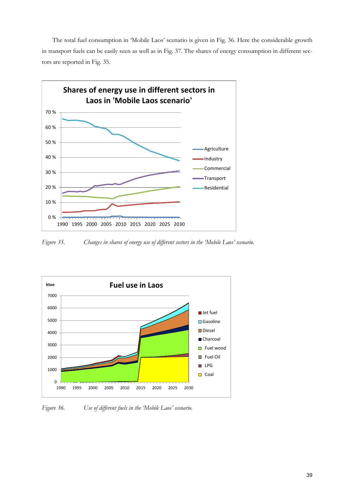The total fuel consumption in 'Mobile Laos' scenario is given in Fig. 36. Here the considerable growth in transport fuels can be easily seen as well as in Fig. 37. The shares of energy consumption in different sectors are reported in Fig. 35.



*Figure 35. Changes in shares of energy use of different sectors in the 'Mobile Laos' scenario.*



*Figure 36. Use of different fuels in the 'Mobile Laos' scenario.*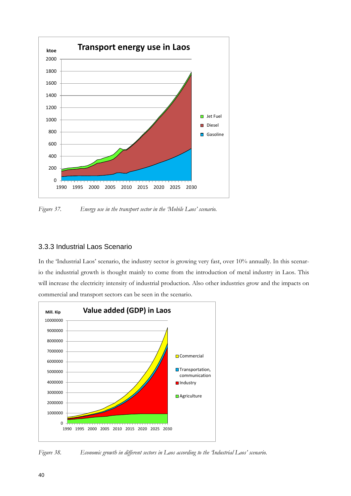

*Figure 37. Energy use in the transport sector in the 'Mobile Laos' scenario.*

#### 3.3.3 Industrial Laos Scenario

In the 'Industrial Laos' scenario, the industry sector is growing very fast, over 10% annually. In this scenario the industrial growth is thought mainly to come from the introduction of metal industry in Laos. This will increase the electricity intensity of industrial production. Also other industries grow and the impacts on commercial and transport sectors can be seen in the scenario.



*Figure 38. Economic growth in different sectors in Laos according to the 'Industrial Laos' scenario.*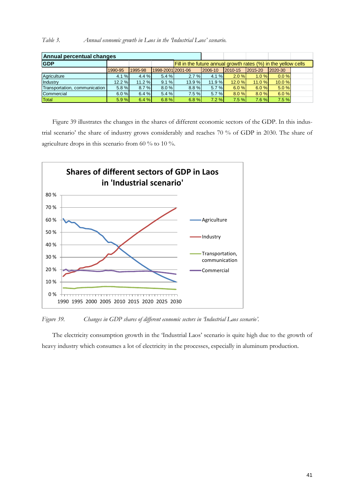| Table 3. |  | Annual economic growth in Laos in the Industrial Laos' scenario. |  |  |  |  |  |  |
|----------|--|------------------------------------------------------------------|--|--|--|--|--|--|
|----------|--|------------------------------------------------------------------|--|--|--|--|--|--|

| Annual percentual changes     |         |         |                     |                                                                |         |         |         |         |  |  |  |  |
|-------------------------------|---------|---------|---------------------|----------------------------------------------------------------|---------|---------|---------|---------|--|--|--|--|
| <b>GDP</b>                    |         |         |                     | Fill in the future annual growth rates (%) in the yellow cells |         |         |         |         |  |  |  |  |
|                               | 1990-95 | 1995-98 | 1998-2001 2001 - 06 |                                                                | 2006-10 | 2010-15 | 2015-20 | 2020-30 |  |  |  |  |
| Agriculture                   | 4.1%    | 4.4%    | 5.4 %               | 2.7%                                                           | 4.1%    | 2.0%    | 1.0%    | 0.0%    |  |  |  |  |
| Industry                      | 12.2%   | 11.2%   | 9.1%                | 13.9%                                                          | 11.9%   | 12.0%   | 11.0%   | 10.0 %  |  |  |  |  |
| Transportation, communication | 5.8%    | 8.7%    | 8.0%                | 8.8%                                                           | 5.7%    | 6.0%    | 6.0%    | 5.0%    |  |  |  |  |
| Commercial                    | 6.0%    | 6.4%    | 5.4 %               | 7.5%                                                           | 5.7%    | 8.0%    | 8.0%    | 6.0%    |  |  |  |  |
| Total                         | 5.9%    | 6.4%    | 6.8%                | 6.8%                                                           | 7.2%    | 7.5%    | 7.6%    | 7.5%    |  |  |  |  |

Figure 39 illustrates the changes in the shares of different economic sectors of the GDP. In this industrial scenario' the share of industry grows considerably and reaches 70 % of GDP in 2030. The share of agriculture drops in this scenario from 60 % to 10 %.



*Figure 39. Changes in GDP shares of different economic sectors in 'Industrial Laos scenario'.*

The electricity consumption growth in the 'Industrial Laos' scenario is quite high due to the growth of heavy industry which consumes a lot of electricity in the processes, especially in aluminum production.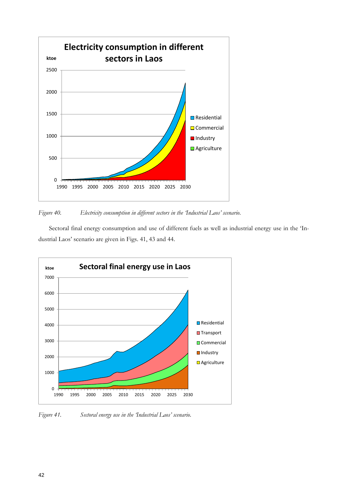

*Figure 40. Electricity consumption in different sectors in the 'Industrial Laos' scenario.*

Sectoral final energy consumption and use of different fuels as well as industrial energy use in the 'Industrial Laos' scenario are given in Figs. 41, 43 and 44.



*Figure 41. Sectoral energy use in the 'Industrial Laos' scenario.*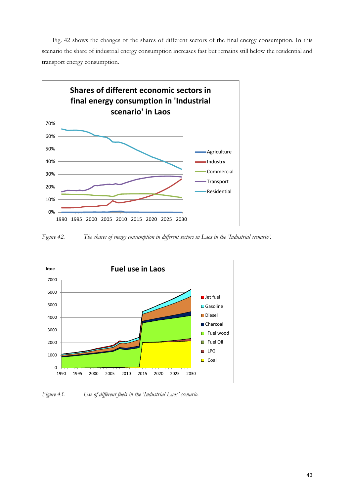Fig. 42 shows the changes of the shares of different sectors of the final energy consumption. In this scenario the share of industrial energy consumption increases fast but remains still below the residential and transport energy consumption.



*Figure 42. The shares of energy consumption in different sectors in Laos in the 'Industrial scenario'.*



*Figure 43. Use of different fuels in the 'Industrial Laos' scenario.*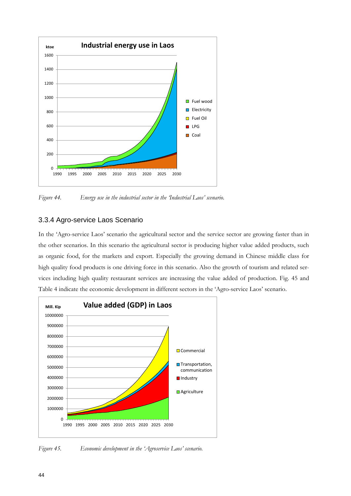

*Figure 44. Energy use in the industrial sector in the 'Industrial Laos' scenario.*

#### 3.3.4 Agro-service Laos Scenario

In the 'Agro-service Laos' scenario the agricultural sector and the service sector are growing faster than in the other scenarios. In this scenario the agricultural sector is producing higher value added products, such as organic food, for the markets and export. Especially the growing demand in Chinese middle class for high quality food products is one driving force in this scenario. Also the growth of tourism and related services including high quality restaurant services are increasing the value added of production. Fig. 45 and Table 4 indicate the economic development in different sectors in the 'Agro-service Laos' scenario.



*Figure 45. Economic development in the 'Agroservice Laos' scenario.*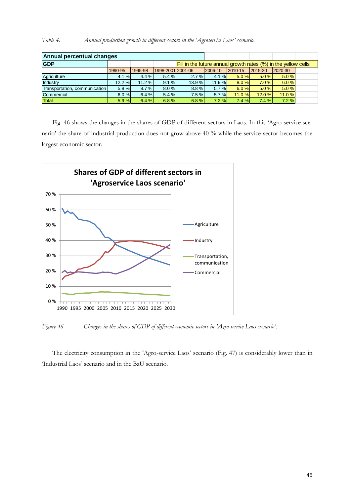| Table 4. |  | Annual production growth in different sectors in the 'Agroservice Laos' scenario. |  |  |  |  |  |  |  |  |  |  |
|----------|--|-----------------------------------------------------------------------------------|--|--|--|--|--|--|--|--|--|--|
|----------|--|-----------------------------------------------------------------------------------|--|--|--|--|--|--|--|--|--|--|

| Annual percentual changes     |         |         |                   |                                                                |         |         |         |         |  |  |  |  |
|-------------------------------|---------|---------|-------------------|----------------------------------------------------------------|---------|---------|---------|---------|--|--|--|--|
| <b>GDP</b>                    |         |         |                   | Fill in the future annual growth rates (%) in the yellow cells |         |         |         |         |  |  |  |  |
|                               | 1990-95 | 1995-98 | 1998-2001 2001-06 |                                                                | 2006-10 | 2010-15 | 2015-20 | 2020-30 |  |  |  |  |
| Agriculture                   | 4.1%    | 4.4%    | 5.4 %             | 2.7%                                                           | 4.1%    | 5.0%    | 5.0%    | 5.0%    |  |  |  |  |
| Industry                      | 12.2%   | 11.2%   | 9.1%              | 13.9%                                                          | 11.9%   | 8.0%    | 7.0%    | 6.0%    |  |  |  |  |
| Transportation, communication | 5.8%    | 8.7%    | 8.0%              | 8.8%                                                           | 5.7 %   | 6.0%    | 5.0%    | 5.0%    |  |  |  |  |
| Commercial                    | 6.0%    | 6.4%    | 5.4%              | 7.5%                                                           | 5.7 %   | 11.0 %  | 12.0 %  | 11.0 %  |  |  |  |  |
| Total                         | 5.9%    | 6.4%    | 6.8%              | 6.8%                                                           | 7.2%    | 7.4%    | 7.4%    | 7.2%    |  |  |  |  |

Fig. 46 shows the changes in the shares of GDP of different sectors in Laos. In this 'Agro-service scenario' the share of industrial production does not grow above 40 % while the service sector becomes the largest economic sector.



*Figure 46. Changes in the shares of GDP of different economic sectors in 'Agro-service Laos scenario'.*

The electricity consumption in the 'Agro-service Laos' scenario (Fig. 47) is considerably lower than in 'Industrial Laos' scenario and in the BaU scenario.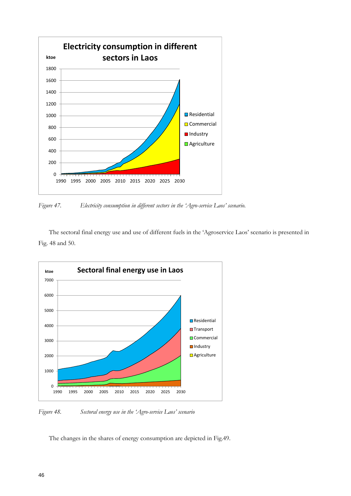

*Figure 47. Electricity consumption in different sectors in the 'Agro-service Laos' scenario.*

The sectoral final energy use and use of different fuels in the 'Agroservice Laos' scenario is presented in Fig. 48 and 50.



*Figure 48. Sectoral energy use in the 'Agro-service Laos' scenario*

The changes in the shares of energy consumption are depicted in Fig.49.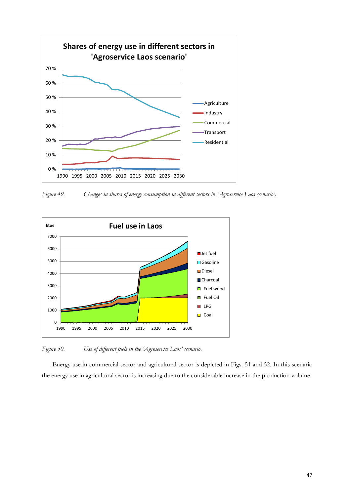

*Figure 49. Changes in shares of energy consumption in different sectors in 'Agroservice Laos scenario'.*



*Figure 50. Use of different fuels in the 'Agroservice Laos' scenario.*

Energy use in commercial sector and agricultural sector is depicted in Figs. 51 and 52. In this scenario the energy use in agricultural sector is increasing due to the considerable increase in the production volume.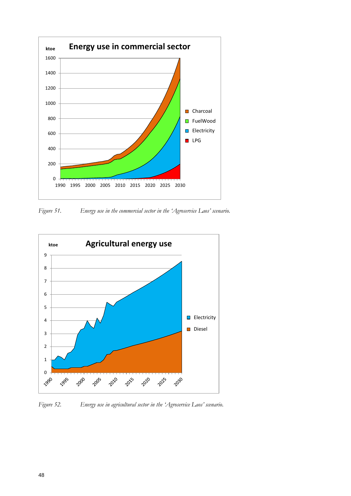

*Figure 51. Energy use in the commercial sector in the 'Agroservice Laos' scenario.*



*Figure 52. Energy use in agricultural sector in the 'Agroservice Laos' scenario.*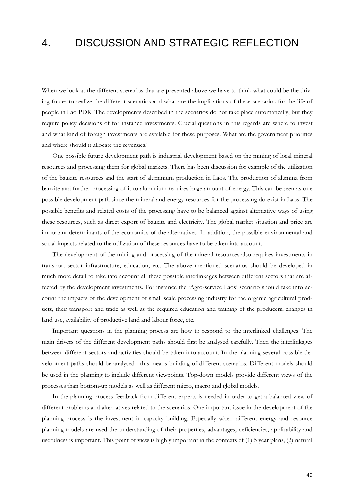## 4. DISCUSSION AND STRATEGIC REFLECTION

When we look at the different scenarios that are presented above we have to think what could be the driving forces to realize the different scenarios and what are the implications of these scenarios for the life of people in Lao PDR. The developments described in the scenarios do not take place automatically, but they require policy decisions of for instance investments. Crucial questions in this regards are where to invest and what kind of foreign investments are available for these purposes. What are the government priorities and where should it allocate the revenues?

One possible future development path is industrial development based on the mining of local mineral resources and processing them for global markets. There has been discussion for example of the utilization of the bauxite resources and the start of aluminium production in Laos. The production of alumina from bauxite and further processing of it to aluminium requires huge amount of energy. This can be seen as one possible development path since the mineral and energy resources for the processing do exist in Laos. The possible benefits and related costs of the processing have to be balanced against alternative ways of using these resources, such as direct export of bauxite and electricity. The global market situation and price are important determinants of the economics of the alternatives. In addition, the possible environmental and social impacts related to the utilization of these resources have to be taken into account.

The development of the mining and processing of the mineral resources also requires investments in transport sector infrastructure, education, etc. The above mentioned scenarios should be developed in much more detail to take into account all these possible interlinkages between different sectors that are affected by the development investments. For instance the 'Agro-service Laos' scenario should take into account the impacts of the development of small scale processing industry for the organic agricultural products, their transport and trade as well as the required education and training of the producers, changes in land use, availability of productive land and labour force, etc.

Important questions in the planning process are how to respond to the interlinked challenges. The main drivers of the different development paths should first be analysed carefully. Then the interlinkages between different sectors and activities should be taken into account. In the planning several possible development paths should be analysed –this means building of different scenarios. Different models should be used in the planning to include different viewpoints. Top-down models provide different views of the processes than bottom-up models as well as different micro, macro and global models.

In the planning process feedback from different experts is needed in order to get a balanced view of different problems and alternatives related to the scenarios. One important issue in the development of the planning process is the investment in capacity building. Especially when different energy and resource planning models are used the understanding of their properties, advantages, deficiencies, applicability and usefulness is important. This point of view is highly important in the contexts of (1) 5 year plans, (2) natural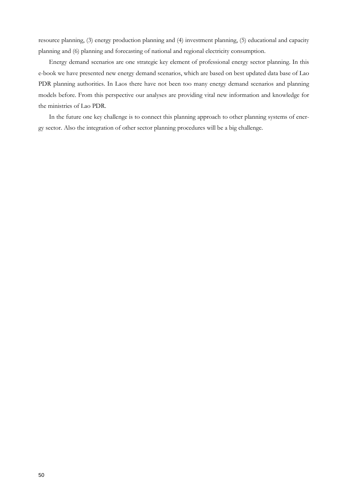resource planning, (3) energy production planning and (4) investment planning, (5) educational and capacity planning and (6) planning and forecasting of national and regional electricity consumption.

Energy demand scenarios are one strategic key element of professional energy sector planning. In this e-book we have presented new energy demand scenarios, which are based on best updated data base of Lao PDR planning authorities. In Laos there have not been too many energy demand scenarios and planning models before. From this perspective our analyses are providing vital new information and knowledge for the ministries of Lao PDR.

In the future one key challenge is to connect this planning approach to other planning systems of energy sector. Also the integration of other sector planning procedures will be a big challenge.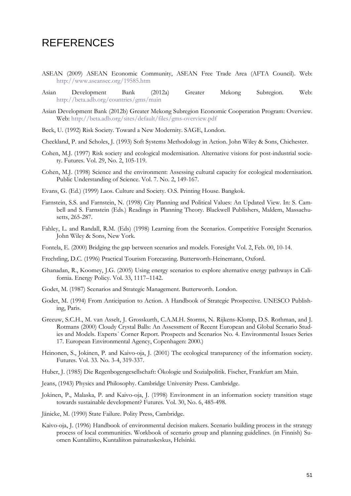## **REFERENCES**

- ASEAN (2009) ASEAN Economic Community, ASEAN Free Trade Area (AFTA Council). Web: <http://www.aseansec.org/19585.htm>
- Asian Development Bank (2012a) Greater Mekong Subregion. Web: <http://beta.adb.org/countries/gms/main>
- Asian Development Bank (2012b) Greater Mekong Subregion Economic Cooperation Program: Overview. Web:<http://beta.adb.org/sites/default/files/gms-overview.pdf>
- Beck, U. (1992) Risk Society. Toward a New Modernity. SAGE, London.
- Checkland, P. and Scholes, J. (1993) Soft Systems Methodology in Action. John Wiley & Sons, Chichester.
- Cohen, M.J. (1997) Risk society and ecological modernisation. Alternative visions for post-industrial society. Futures. Vol. 29, No. 2, 105-119.
- Cohen, M.J. (1998) Science and the environment: Assessing cultural capacity for ecological modernisation. Public Understanding of Science. Vol. 7. No. 2, 149-167.
- Evans, G. (Ed.) (1999) Laos. Culture and Society. O.S. Printing House. Bangkok.
- Farnstein, S.S. and Farnstein, N. (1998) City Planning and Political Values: An Updated View. In: S. Cambell and S. Farnstein (Eds.) Readings in Planning Theory. Blackwell Publishers, Maldem, Massachusetts, 265-287.
- Fahley, L. and Randall, R.M. (Eds) (1998) Learning from the Scenarios. Competitive Foresight Scenarios. John Wiley & Sons, New York.
- Fontela, E. (2000) Bridging the gap between scenarios and models. Foresight Vol. 2, Feb. 00, 10-14.
- Frechtling, D.C. (1996) Practical Tourism Forecasting. Butterworth-Heinemann, Oxford.
- Ghanadan, R., Koomey, J.G. (2005) Using energy scenarios to explore alternative energy pathways in California. Energy Policy. Vol. 33, 1117–1142.
- Godet, M. (1987) Scenarios and Strategic Management. Butterworth. London.
- Godet, M. (1994) From Anticipation to Action. A Handbook of Strategic Prospective. UNESCO Publishing, Paris.
- Greeuw, S.C.H., M. van Asselt, J. Grosskurth, C.A.M.H. Storms, N. Rijkens-Klomp, D.S. Rothman, and J. Rotmans (2000) Cloudy Crystal Balls: An Assessment of Recent European and Global Scenario Studies and Models. Experts´ Corner Report. Prospects and Scenarios No. 4. Environmental Issues Series 17. European Environmental Agency, Copenhagen: 2000.)
- Heinonen, S., Jokinen, P. and Kaivo-oja, J. (2001) The ecological transparency of the information society. Futures. Vol. 33. No. 3-4, 319-337.
- Huber, J. (1985) Die Regenbogengesellschaft: Ökologie und Sozialpolitik. Fischer, Frankfurt am Main.
- Jeans, (1943) Physics and Philosophy. Cambridge University Press. Cambridge.
- Jokinen, P., Malaska, P. and Kaivo-oja, J. (1998) Environment in an information society transition stage towards sustainable development? Futures. Vol. 30, No. 6, 485-498.
- Jänicke, M. (1990) State Failure. Polity Press, Cambridge.
- Kaivo-oja, J. (1996) Handbook of environmental decision makers. Scenario building process in the strategy process of local communities. Workbook of scenario group and planning guidelines. (in Finnish) Suomen Kuntaliitto, Kuntaliiton painatuskeskus, Helsinki.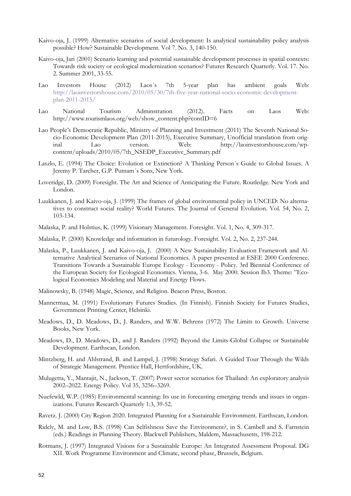- Kaivo-oja, J. (1999) Alternative scenarios of social development: Is analytical sustainability policy analysis possible? How? Sustainable Development. Vol 7. No. 3, 140-150.
- Kaivo-oja, Jari (2001) Scenario learning and potential sustainable development processes in spatial contexts: Towards risk society or ecological modernization scenarios? Futures Research Quarterly. Vol. 17. No. 2. Summer 2001, 33-55.
- Lao Investors House (2012) Laos´s 7th 5-year plan has ambient goals Web: [http://laoinvestorshouse.com/2010/05/30/7th-five-year-national-socio-economic-development](http://laoinvestorshouse.com/2010/05/30/7th-five-year-national-socio-economic-development-plan-2011-2015/)[plan-2011-2015/](http://laoinvestorshouse.com/2010/05/30/7th-five-year-national-socio-economic-development-plan-2011-2015/)
- Lao National Tourism Adminstration (2012). Facts on Laos Web: http://www.tourismlaos.org/web/show\_content.php?contID=6
- Lao People's Democratic Republic, Ministry of Planning and Investment (2011) The Seventh National Socio-Economic Development Plan (2011-2015), Executive Summary, Unofficial translation from original Lao version. Web: http://laoinvestorshouse.com/wpcontent/uploads/2010/05/7th\_NSEDP\_Executive\_Summary.pdf
- Laszlo, E. (1994) The Choice: Evolution or Extinction? A Thinking Person´s Guide to Global Issues. A Jeremy P. Tarcher, G.P. Putnam´s Sons, New York.
- Loveridge, D. (2009) Foresight. The Art and Science of Anticipating the Future. Routledge. New York and London.
- Luukkanen, J. and Kaivo-oja, J. (1999) The frames of global environmental policy in UNCED: No alternatives to construct social reality? World Futures. The Journal of General Evolution. Vol. 54, No. 2, 103-134.
- Malaska, P. and Holstius, K. (1999) Visionary Management. Foresight. Vol. 1, No. 4, 309-317.
- Malaska, P. (2000) Knowledge and information in futurology. Foresight. Vol. 2, No. 2, 237-244.
- Malaska, P., Luukkanen, J. and Kaivo-oja, J. (2000) A New Sustainability Evaluation Framework and Alternative Analytical Scenarios of National Economies. A paper presented at ESEE 2000 Conference. Transitions Towards a Sustainable Europe Ecology - Economy - Policy. 3rd Biennial Conference of the European Society for Ecological Economics. Vienna, 3-6. May 2000. Session Ib3. Theme: "Ecological Economics Modeling and Material and Energy Flows.
- Malinowsky, B. (1948) Magic, Science, and Religion. Beacon Press, Boston.
- Mannermaa, M. (1991) Evolutionary Futures Studies. (In Finnish). Finnish Society for Futures Studies, Government Printing Center, Helsinki.
- Meadows, D., D. Meadows, D., J. Randers, and W.W. Behrens (1972) The Limits to Growth. Universe Books, New York.
- Meadows, D., D. Meadows, D., and J. Randers (1992) Beyond the Limits-Global Collapse or Sustainable Development. Earthscan, London.
- Mintzberg, H. and Ahlstrand, B. and Lampel, J. (1998) Strategy Safari. A Guided Tour Through the Wilds of Strategic Management. Prentice Hall, Hertfordshire, UK.
- Mulugetta, Y., Mantajit, N., Jackson, T. (2007) Power sector scenarios for Thailand: An exploratory analysis 2002–2022. Energy Policy. Vol 35, 3256–3269.
- Nuefewld, W.P. (1985) Environmental scanning: Its use in forecasting emerging trends and issues in organizations. Futures Research Quarterly 1:3, 39-52.
- Ravetz. J. (2000) City Region 2020. Integrated Planning for a Sustainable Environment. Earthscan, London.
- Ridely, M. and Low, B.S. (1998) Can Selfishness Save the Environment?, in S. Cambell and S. Farnstein (eds.) Readings in Planning Theory. Blackwell Publishers, Maldem, Massachusetts, 198-212.
- Rotmans, J. (1997) Integrated Visions for a Sustainable Europe: An Integrated Assessment Proposal. DG XII. Work Programme Environment and Climate, second phase, Brussels, Belgium.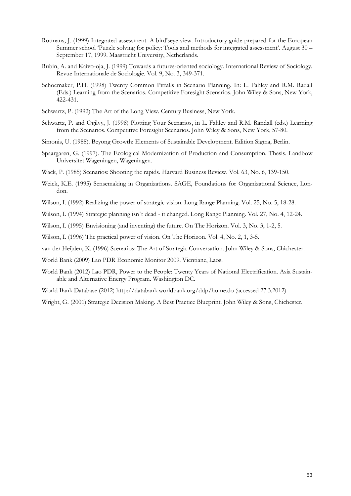- Rotmans, J. (1999) Integrated assessment. A bird'seye view. Introductory guide prepared for the European Summer school 'Puzzle solving for policy: Tools and methods for integrated assessment'. August 30 – September 17, 1999. Maastricht University, Netherlands.
- Rubin, A. and Kaivo-oja, J. (1999) Towards a futures-oriented sociology. International Review of Sociology. Revue Internationale de Sociologie. Vol. 9, No. 3, 349-371.
- Schoemaker, P.H. (1998) Twenty Common Pitfalls in Scenario Planning. In: L. Fahley and R.M. Radall (Eds.) Learning from the Scenarios. Competitive Foresight Scenarios. John Wiley & Sons, New York, 422-431.
- Schwartz, P. (1992) The Art of the Long View. Century Business, New York.
- Schwartz, P. and Ogilvy, J. (1998) Plotting Your Scenarios, in L. Fahley and R.M. Randall (eds.) Learning from the Scenarios. Competitive Foresight Scenarios. John Wiley & Sons, New York, 57-80.
- Simonis, U. (1988). Beyong Growth: Elements of Sustainable Development. Edition Sigma, Berlin.
- Spaargaren, G. (1997). The Ecological Modernization of Production and Consumption. Thesis. Landbow Universitet Wageningen, Wageningen.
- Wack, P. (1985) Scenarios: Shooting the rapids. Harvard Business Review. Vol. 63, No. 6, 139-150.
- Weick, K.E. (1995) Sensemaking in Organizations. SAGE, Foundations for Organizational Science, London.
- Wilson, I. (1992) Realizing the power of strategic vision. Long Range Planning. Vol. 25, No. 5, 18-28.
- Wilson, I. (1994) Strategic planning isn´t dead it changed. Long Range Planning. Vol. 27, No. 4, 12-24.
- Wilson, I. (1995) Envisioning (and inventing) the future. On The Horizon. Vol. 3, No. 3, 1-2, 5.
- Wilson, I. (1996) The practical power of vision. On The Horizon. Vol. 4, No. 2, 1, 3-5.
- van der Heijden, K. (1996) Scenarios: The Art of Strategic Conversation. John Wiley & Sons, Chichester.
- World Bank (2009) Lao PDR Economic Monitor 2009. Vientiane, Laos.
- World Bank (2012) Lao PDR, Power to the People: Twenty Years of National Electrification. Asia Sustainable and Alternative Energy Program. Washington DC.
- World Bank Database (2012) http://databank.worldbank.org/ddp/home.do (accessed 27.3.2012)
- Wright, G. (2001) Strategic Decision Making. A Best Practice Blueprint. John Wiley & Sons, Chichester.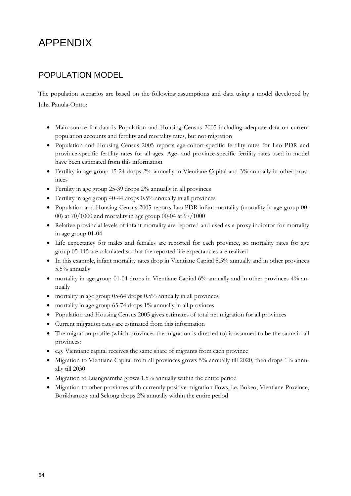# APPENDIX

## POPULATION MODEL

The population scenarios are based on the following assumptions and data using a model developed by Juha Panula-Ontto:

- Main source for data is Population and Housing Census 2005 including adequate data on current population accounts and fertility and mortality rates, but not migration
- Population and Housing Census 2005 reports age-cohort-specific fertility rates for Lao PDR and province-specific fertility rates for all ages. Age- and province-specific fertility rates used in model have been estimated from this information
- Fertility in age group 15-24 drops 2% annually in Vientiane Capital and 3% annually in other provinces
- Fertility in age group 25-39 drops 2% annually in all provinces
- Fertility in age group 40-44 drops 0.5% annually in all provinces
- Population and Housing Census 2005 reports Lao PDR infant mortality (mortality in age group 00- 00) at 70/1000 and mortality in age group 00-04 at 97/1000
- Relative provincial levels of infant mortality are reported and used as a proxy indicator for mortality in age group 01-04
- Life expectancy for males and females are reported for each province, so mortality rates for age group 05-115 are calculated so that the reported life expectancies are realized
- In this example, infant mortality rates drop in Vientiane Capital 8.5% annually and in other provinces 5.5% annually
- mortality in age group 01-04 drops in Vientiane Capital 6% annually and in other provinces 4% annually
- mortality in age group 05-64 drops 0.5% annually in all provinces
- mortality in age group 65-74 drops 1% annually in all provinces
- Population and Housing Census 2005 gives estimates of total net migration for all provinces
- Current migration rates are estimated from this information
- The migration profile (which provinces the migration is directed to) is assumed to be the same in all provinces:
- e.g. Vientiane capital receives the same share of migrants from each province
- Migration to Vientiane Capital from all provinces grows 5% annually till 2020, then drops 1% annually till 2030
- Migration to Luangnamtha grows 1.5% annually within the entire period
- Migration to other provinces with currently positive migration flows, i.e. Bokeo, Vientiane Province, Borikhamxay and Sekong drops 2% annually within the entire period